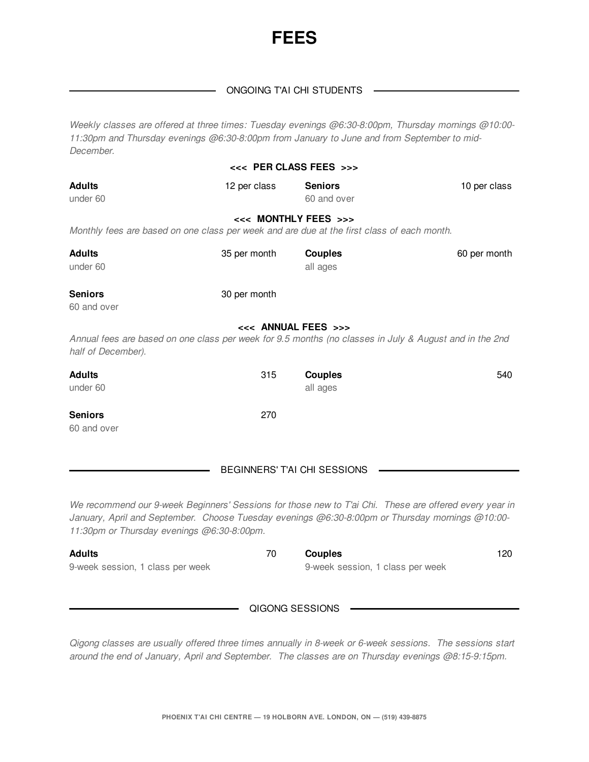

## ONGOING T'AI CHI STUDENTS

*Weekly classes are offered at three times: Tuesday evenings @6:30-8:00pm, Thursday mornings @10:00- 11:30pm and Thursday evenings @6:30-8:00pm from January to June and from September to mid-December.*

|                                                                                                                                                                                                                                                         | <<< PER CLASS FEES >>>       |                                  |              |
|---------------------------------------------------------------------------------------------------------------------------------------------------------------------------------------------------------------------------------------------------------|------------------------------|----------------------------------|--------------|
| <b>Adults</b><br>under 60                                                                                                                                                                                                                               | 12 per class                 | <b>Seniors</b><br>60 and over    | 10 per class |
| Monthly fees are based on one class per week and are due at the first class of each month.                                                                                                                                                              | <<< MONTHLY FEES >>>         |                                  |              |
| <b>Adults</b><br>under 60                                                                                                                                                                                                                               | 35 per month                 | <b>Couples</b><br>all ages       | 60 per month |
| <b>Seniors</b><br>60 and over                                                                                                                                                                                                                           | 30 per month                 |                                  |              |
|                                                                                                                                                                                                                                                         | <<< ANNUAL FEES >>>          |                                  |              |
| Annual fees are based on one class per week for 9.5 months (no classes in July & August and in the 2nd<br>half of December).                                                                                                                            |                              |                                  |              |
| <b>Adults</b><br>under 60                                                                                                                                                                                                                               | 315                          | <b>Couples</b><br>all ages       | 540          |
| <b>Seniors</b><br>60 and over                                                                                                                                                                                                                           | 270                          |                                  |              |
|                                                                                                                                                                                                                                                         | BEGINNERS' T'AI CHI SESSIONS |                                  |              |
| We recommend our 9-week Beginners' Sessions for those new to T'ai Chi. These are offered every year in<br>January, April and September. Choose Tuesday evenings @6:30-8:00pm or Thursday mornings @10:00-<br>11:30pm or Thursday evenings @6:30-8:00pm. |                              |                                  |              |
| <b>Adults</b>                                                                                                                                                                                                                                           | 70                           | <b>Couples</b>                   | 120          |
| 9-week session, 1 class per week                                                                                                                                                                                                                        |                              | 9-week session, 1 class per week |              |
|                                                                                                                                                                                                                                                         | QIGONG SESSIONS              |                                  |              |

*Qigong classes are usually offered three times annually in 8-week or 6-week sessions. The sessions start around the end of January, April and September. The classes are on Thursday evenings @8:15-9:15pm.*